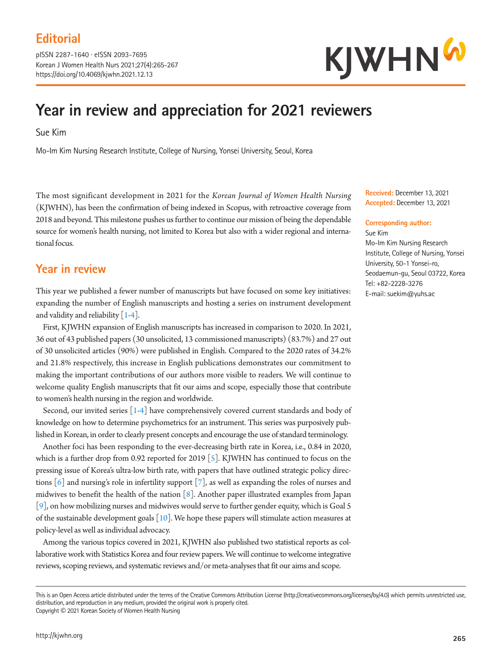pISSN 2287-1640 · eISSN 2093-7695 Korean J Women Health Nurs 2021;27(4):265-267 https://doi.org/10.4069/kjwhn.2021.12.13



# **Year in review and appreciation for 2021 reviewers**

Sue Kim

Mo-Im Kim Nursing Research Institute, College of Nursing, Yonsei University, Seoul, Korea

The most significant development in 2021 for the *Korean Journal of Women Health Nursing* (KJWHN), has been the confirmation of being indexed in Scopus, with retroactive coverage from 2018 and beyond. This milestone pushes us further to continue our mission of being the dependable source for women's health nursing, not limited to Korea but also with a wider regional and international focus.

#### **Year in review**

This year we published a fewer number of manuscripts but have focused on some key initiatives: expanding the number of English manuscripts and hosting a series on instrument development and validity and reliability  $\lceil 1-4 \rceil$ .

First, KJWHN expansion of English manuscripts has increased in comparison to 2020. In 2021, 36 out of 43 published papers (30 unsolicited, 13 commissioned manuscripts) (83.7%) and 27 out of 30 unsolicited articles (90%) were published in English. Compared to the 2020 rates of 34.2% and 21.8% respectively, this increase in English publications demonstrates our commitment to making the important contributions of our authors more visible to readers. We will continue to welcome quality English manuscripts that fit our aims and scope, especially those that contribute to women's health nursing in the region and worldwide.

Second, our invited series  $\lceil 1-4 \rceil$  have comprehensively covered current standards and body of knowledge on how to determine psychometrics for an instrument. This series was purposively published in Korean, in order to clearly present concepts and encourage the use of standard terminology.

Another foci has been responding to the ever-decreasing birth rate in Korea, i.e., 0.84 in 2020, which is a further drop from 0.92 reported for 2019 [5]. KJWHN has continued to focus on the pressing issue of Korea's ultra-low birth rate, with papers that have outlined strategic policy directions  $[6]$  and nursing's role in infertility support  $[7]$ , as well as expanding the roles of nurses and midwives to benefit the health of the nation  $\lceil 8 \rceil$ . Another paper illustrated examples from Japan [9], on how mobilizing nurses and midwives would serve to further gender equity, which is Goal 5 of the sustainable development goals  $[10]$ . We hope these papers will stimulate action measures at policy-level as well as individual advocacy.

Among the various topics covered in 2021, KJWHN also published two statistical reports as collaborative work with Statistics Korea and four review papers. We will continue to welcome integrative reviews, scoping reviews, and systematic reviews and/or meta-analyses that fit our aims and scope.

**Received:** December 13, 2021 **Accepted:** December 13, 2021

#### **Corresponding author:**

Sue Kim Mo-Im Kim Nursing Research Institute, College of Nursing, Yonsei University, 50-1 Yonsei-ro, Seodaemun-gu, Seoul 03722, Korea Tel: +82-2228-3276 E-mail: suekim@yuhs.ac

This is an Open Access article distributed under the terms of the Creative Commons Attribution License (http://creativecommons.org/licenses/by/4.0) which permits unrestricted use, distribution, and reproduction in any medium, provided the original work is properly cited. Copyright © 2021 Korean Society of Women Health Nursing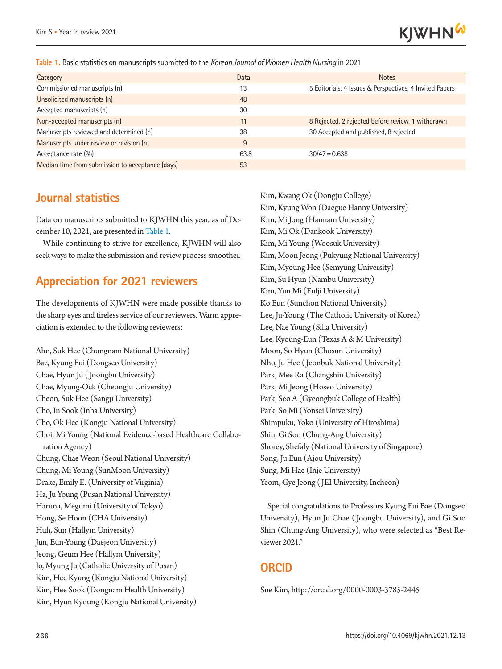

**Table 1.** Basic statistics on manuscripts submitted to the *Korean Journal of Women Health Nursing* in 2021

| Category                                         | Data | <b>Notes</b>                                            |
|--------------------------------------------------|------|---------------------------------------------------------|
| Commissioned manuscripts (n)                     | 13   | 5 Editorials, 4 Issues & Perspectives, 4 Invited Papers |
| Unsolicited manuscripts (n)                      | 48   |                                                         |
| Accepted manuscripts (n)                         | 30   |                                                         |
| Non-accepted manuscripts (n)                     | 11   | 8 Rejected, 2 rejected before review, 1 withdrawn       |
| Manuscripts reviewed and determined (n)          | 38   | 30 Accepted and published, 8 rejected                   |
| Manuscripts under review or revision (n)         | 9    |                                                         |
| Acceptance rate (%)                              | 63.8 | $30/47 = 0.638$                                         |
| Median time from submission to acceptance (days) | 53   |                                                         |

#### **Journal statistics**

Data on manuscripts submitted to KJWHN this year, as of December 10, 2021, are presented in Table 1.

While continuing to strive for excellence, KJWHN will also seek ways to make the submission and review process smoother.

#### **Appreciation for 2021 reviewers**

The developments of KJWHN were made possible thanks to the sharp eyes and tireless service of our reviewers. Warm appreciation is extended to the following reviewers:

Ahn, Suk Hee (Chungnam National University) Bae, Kyung Eui (Dongseo University) Chae, Hyun Ju ( Joongbu University) Chae, Myung-Ock (Cheongju University) Cheon, Suk Hee (Sangji University) Cho, In Sook (Inha University) Cho, Ok Hee (Kongju National University) Choi, Mi Young (National Evidence-based Healthcare Collaboration Agency) Chung, Chae Weon (Seoul National University) Chung, Mi Young (SunMoon University) Drake, Emily E. (University of Virginia) Ha, Ju Young (Pusan National University) Haruna, Megumi (University of Tokyo) Hong, Se Hoon (CHA University) Huh, Sun (Hallym University) Jun, Eun-Young (Daejeon University) Jeong, Geum Hee (Hallym University) Jo, Myung Ju (Catholic University of Pusan) Kim, Hee Kyung (Kongju National University) Kim, Hee Sook (Dongnam Health University) Kim, Hyun Kyoung (Kongju National University)

Kim, Kwang Ok (Dongju College) Kim, Kyung Won (Daegue Hanny University) Kim, Mi Jong (Hannam University) Kim, Mi Ok (Dankook University) Kim, Mi Young (Woosuk University) Kim, Moon Jeong (Pukyung National University) Kim, Myoung Hee (Semyung University) Kim, Su Hyun (Nambu University) Kim, Yun Mi (Eulji University) Ko Eun (Sunchon National University) Lee, Ju-Young (The Catholic University of Korea) Lee, Nae Young (Silla University) Lee, Kyoung-Eun (Texas A & M University) Moon, So Hyun (Chosun University) Nho, Ju Hee ( Jeonbuk National University) Park, Mee Ra (Changshin University) Park, Mi Jeong (Hoseo University) Park, Seo A (Gyeongbuk College of Health) Park, So Mi (Yonsei University) Shimpuku, Yoko (University of Hiroshima) Shin, Gi Soo (Chung-Ang University) Shorey, Shefaly (National University of Singapore) Song, Ju Eun (Ajou University) Sung, Mi Hae (Inje University) Yeom, Gye Jeong ( JEI University, Incheon)

Special congratulations to Professors Kyung Eui Bae (Dongseo University), Hyun Ju Chae ( Joongbu University), and Gi Soo Shin (Chung-Ang University), who were selected as "Best Reviewer 2021."

#### **ORCID**

Sue Kim, http://orcid.org/0000-0003-3785-2445